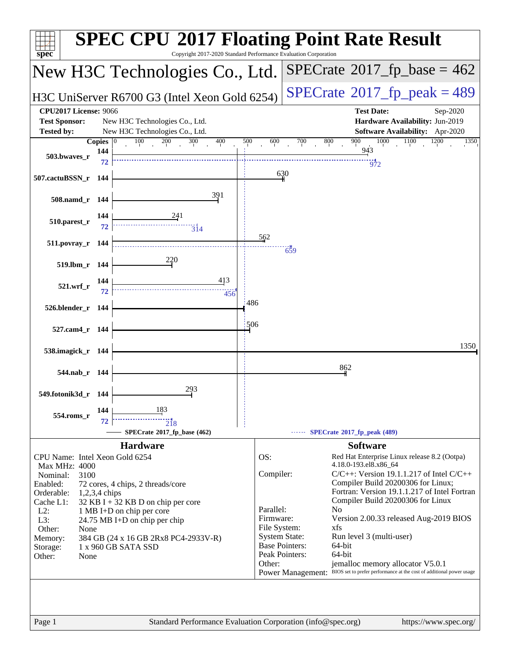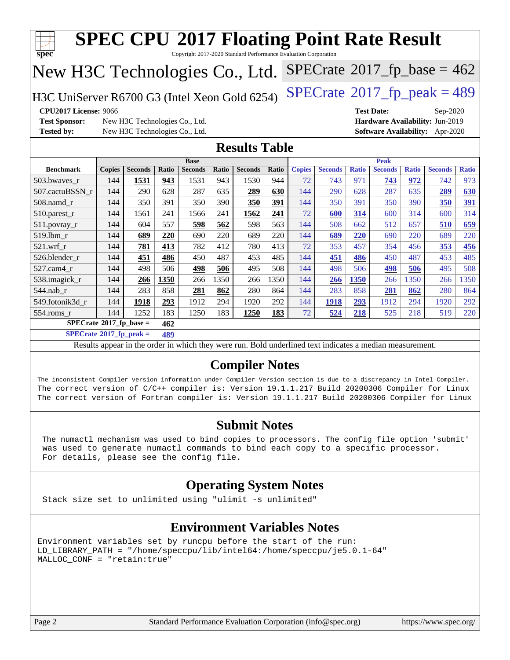| New H3C Technologies Co., Ltd.                                                  |               |                                |       |                |       |                                                                                                          |              |               |                |              |                   |              | $SPECrate$ <sup>®</sup> 2017_fp_base = 462 |              |
|---------------------------------------------------------------------------------|---------------|--------------------------------|-------|----------------|-------|----------------------------------------------------------------------------------------------------------|--------------|---------------|----------------|--------------|-------------------|--------------|--------------------------------------------|--------------|
| $SPECTate@2017_fp\_peak = 489$<br>H3C UniServer R6700 G3 (Intel Xeon Gold 6254) |               |                                |       |                |       |                                                                                                          |              |               |                |              |                   |              |                                            |              |
| <b>CPU2017 License: 9066</b>                                                    |               |                                |       |                |       |                                                                                                          |              |               |                |              | <b>Test Date:</b> |              | Sep-2020                                   |              |
| <b>Test Sponsor:</b>                                                            |               | New H3C Technologies Co., Ltd. |       |                |       |                                                                                                          |              |               |                |              |                   |              | Hardware Availability: Jun-2019            |              |
| <b>Tested by:</b>                                                               |               | New H3C Technologies Co., Ltd. |       |                |       |                                                                                                          |              |               |                |              |                   |              | <b>Software Availability:</b> Apr-2020     |              |
|                                                                                 |               |                                |       |                |       | <b>Results Table</b>                                                                                     |              |               |                |              |                   |              |                                            |              |
|                                                                                 |               |                                |       | <b>Base</b>    |       |                                                                                                          |              |               |                |              | <b>Peak</b>       |              |                                            |              |
| <b>Benchmark</b>                                                                | <b>Copies</b> | <b>Seconds</b>                 | Ratio | <b>Seconds</b> | Ratio | <b>Seconds</b>                                                                                           | <b>Ratio</b> | <b>Copies</b> | <b>Seconds</b> | <b>Ratio</b> | <b>Seconds</b>    | <b>Ratio</b> | <b>Seconds</b>                             | <b>Ratio</b> |
| 503.bwaves_r                                                                    | 144           | 1531                           | 943   | 1531           | 943   | 1530                                                                                                     | 944          | 72            | 743            | 971          | 743               | 972          | 742                                        | 973          |
| 507.cactuBSSN_r                                                                 | 144           | 290                            | 628   | 287            | 635   | 289                                                                                                      | 630          | 144           | 290            | 628          | 287               | 635          | 289                                        | 630          |
| $508$ .namd $r$                                                                 | 144           | 350                            | 391   | 350            | 390   | 350                                                                                                      | 391          | 144           | 350            | 391          | 350               | 390          | 350                                        | 391          |
| 510.parest_r                                                                    | 144           | 1561                           | 241   | 1566           | 241   | 1562                                                                                                     | 241          | 72            | 600            | 314          | 600               | 314          | 600                                        | 314          |
| $511.$ povray_r                                                                 | 144           | 604                            | 557   | 598            | 562   | 598                                                                                                      | 563          | 144           | 508            | 662          | 512               | 657          | <b>510</b>                                 | 659          |
| 519.1bm_r                                                                       | 144           | 689                            | 220   | 690            | 220   | 689                                                                                                      | 220          | 144           | 689            | 220          | 690               | 220          | 689                                        | 220          |
| $521.wrf_r$                                                                     | 144           | 781                            | 413   | 782            | 412   | 780                                                                                                      | 413          | 72            | 353            | 457          | 354               | 456          | 353                                        | 456          |
| 526.blender_r                                                                   | 144           | 451                            | 486   | 450            | 487   | 453                                                                                                      | 485          | 144           | 451            | 486          | 450               | 487          | 453                                        | 485          |
| 527.cam4 r                                                                      | 144           | 498                            | 506   | 498            | 506   | 495                                                                                                      | 508          | 144           | 498            | 506          | 498               | 506          | 495                                        | 508          |
| 538.imagick_r                                                                   | 144           | 266                            | 1350  | 266            | 1350  | 266                                                                                                      | 1350         | 144           | 266            | 1350         | 266               | 1350         | 266                                        | 1350         |
| $544$ .nab_r                                                                    | 144           | 283                            | 858   | 281            | 862   | 280                                                                                                      | 864          | 144           | 283            | 858          | 281               | 862          | 280                                        | 864          |
| 549.fotonik3d r                                                                 | 144           | 1918                           | 293   | 1912           | 294   | 1920                                                                                                     | 292          | 144           | 1918           | 293          | 1912              | 294          | 1920                                       | 292          |
| $554$ .roms_r                                                                   | 144           | 1252                           | 183   | 1250           | 183   | 1250                                                                                                     | 183          | 72            | 524            | 218          | 525               | 218          | 519                                        | 220          |
| $SPECrate^{\otimes}2017$ _fp_base =                                             |               |                                | 462   |                |       |                                                                                                          |              |               |                |              |                   |              |                                            |              |
| $SPECrate^{\circ}2017$ _fp_peak =                                               |               |                                | 489   |                |       |                                                                                                          |              |               |                |              |                   |              |                                            |              |
|                                                                                 |               |                                |       |                |       | Results appear in the order in which they were run. Bold underlined text indicates a median measurement. |              |               |                |              |                   |              |                                            |              |
|                                                                                 |               |                                |       |                |       | <b>Compiler Notes</b>                                                                                    |              |               |                |              |                   |              |                                            |              |

#### **[Submit Notes](http://www.spec.org/auto/cpu2017/Docs/result-fields.html#SubmitNotes)**

 The numactl mechanism was used to bind copies to processors. The config file option 'submit' was used to generate numactl commands to bind each copy to a specific processor. For details, please see the config file.

#### **[Operating System Notes](http://www.spec.org/auto/cpu2017/Docs/result-fields.html#OperatingSystemNotes)**

Stack size set to unlimited using "ulimit -s unlimited"

#### **[Environment Variables Notes](http://www.spec.org/auto/cpu2017/Docs/result-fields.html#EnvironmentVariablesNotes)**

Environment variables set by runcpu before the start of the run: LD\_LIBRARY\_PATH = "/home/speccpu/lib/intel64:/home/speccpu/je5.0.1-64" MALLOC\_CONF = "retain:true"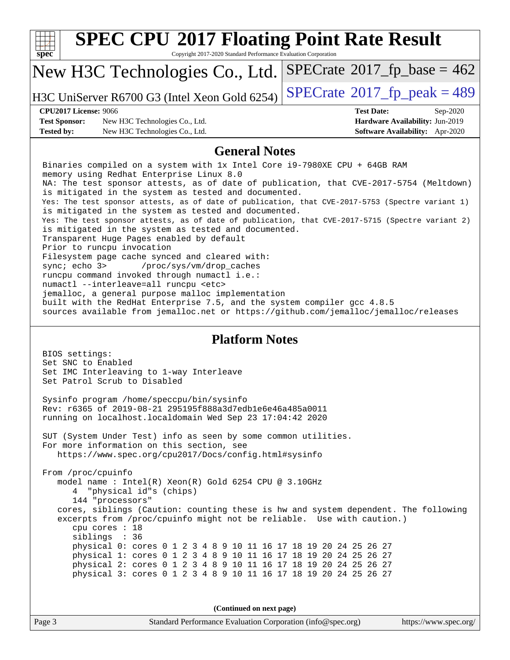| <b>SPEC CPU®2017 Floating Point Rate Result</b><br>spec<br>Copyright 2017-2020 Standard Performance Evaluation Corporation                                                                                                                                                                                                                                                                                                                                                                                                                                                                                                                                                                                                                                                                                                                                                                                                                                                                                                                                                                                                                                                                                                                                                                                                  |                                                                           |  |  |  |  |
|-----------------------------------------------------------------------------------------------------------------------------------------------------------------------------------------------------------------------------------------------------------------------------------------------------------------------------------------------------------------------------------------------------------------------------------------------------------------------------------------------------------------------------------------------------------------------------------------------------------------------------------------------------------------------------------------------------------------------------------------------------------------------------------------------------------------------------------------------------------------------------------------------------------------------------------------------------------------------------------------------------------------------------------------------------------------------------------------------------------------------------------------------------------------------------------------------------------------------------------------------------------------------------------------------------------------------------|---------------------------------------------------------------------------|--|--|--|--|
| New H3C Technologies Co., Ltd.                                                                                                                                                                                                                                                                                                                                                                                                                                                                                                                                                                                                                                                                                                                                                                                                                                                                                                                                                                                                                                                                                                                                                                                                                                                                                              | $SPECrate^{\circ}2017_fp\_base = 462$                                     |  |  |  |  |
| H3C UniServer R6700 G3 (Intel Xeon Gold 6254)                                                                                                                                                                                                                                                                                                                                                                                                                                                                                                                                                                                                                                                                                                                                                                                                                                                                                                                                                                                                                                                                                                                                                                                                                                                                               | $SPECTate@2017_fp\_peak = 489$                                            |  |  |  |  |
| <b>CPU2017 License: 9066</b>                                                                                                                                                                                                                                                                                                                                                                                                                                                                                                                                                                                                                                                                                                                                                                                                                                                                                                                                                                                                                                                                                                                                                                                                                                                                                                | <b>Test Date:</b><br>Sep-2020                                             |  |  |  |  |
| <b>Test Sponsor:</b><br>New H3C Technologies Co., Ltd.<br><b>Tested by:</b><br>New H3C Technologies Co., Ltd.                                                                                                                                                                                                                                                                                                                                                                                                                                                                                                                                                                                                                                                                                                                                                                                                                                                                                                                                                                                                                                                                                                                                                                                                               | Hardware Availability: Jun-2019<br><b>Software Availability:</b> Apr-2020 |  |  |  |  |
|                                                                                                                                                                                                                                                                                                                                                                                                                                                                                                                                                                                                                                                                                                                                                                                                                                                                                                                                                                                                                                                                                                                                                                                                                                                                                                                             |                                                                           |  |  |  |  |
| <b>General Notes</b><br>Binaries compiled on a system with 1x Intel Core i9-7980XE CPU + 64GB RAM<br>memory using Redhat Enterprise Linux 8.0<br>NA: The test sponsor attests, as of date of publication, that CVE-2017-5754 (Meltdown)<br>is mitigated in the system as tested and documented.<br>Yes: The test sponsor attests, as of date of publication, that CVE-2017-5753 (Spectre variant 1)<br>is mitigated in the system as tested and documented.<br>Yes: The test sponsor attests, as of date of publication, that CVE-2017-5715 (Spectre variant 2)<br>is mitigated in the system as tested and documented.<br>Transparent Huge Pages enabled by default<br>Prior to runcpu invocation<br>Filesystem page cache synced and cleared with:<br>sync; echo 3><br>/proc/sys/vm/drop_caches<br>runcpu command invoked through numactl i.e.:<br>numactl --interleave=all runcpu <etc><br/>jemalloc, a general purpose malloc implementation<br/>built with the RedHat Enterprise 7.5, and the system compiler gcc 4.8.5<br/>sources available from jemalloc.net or https://github.com/jemalloc/jemalloc/releases<br/><b>Platform Notes</b><br/>BIOS settings:<br/>Set SNC to Enabled<br/>Set IMC Interleaving to 1-way Interleave<br/>Set Patrol Scrub to Disabled<br/>Sysinfo program /home/speccpu/bin/sysinfo</etc> |                                                                           |  |  |  |  |
| running on localhost.localdomain Wed Sep 23 17:04:42 2020<br>SUT (System Under Test) info as seen by some common utilities.<br>For more information on this section, see<br>https://www.spec.org/cpu2017/Docs/config.html#sysinfo                                                                                                                                                                                                                                                                                                                                                                                                                                                                                                                                                                                                                                                                                                                                                                                                                                                                                                                                                                                                                                                                                           |                                                                           |  |  |  |  |
| From /proc/cpuinfo<br>model name : Intel(R) Xeon(R) Gold 6254 CPU @ 3.10GHz<br>"physical id"s (chips)<br>4<br>144 "processors"<br>cores, siblings (Caution: counting these is hw and system dependent. The following<br>excerpts from /proc/cpuinfo might not be reliable. Use with caution.)<br>cpu cores $: 18$<br>siblings : 36<br>physical 0: cores 0 1 2 3 4 8 9 10 11 16 17 18 19 20 24 25 26 27<br>physical 1: cores 0 1 2 3 4 8 9 10 11 16 17 18 19 20 24 25 26 27<br>physical 2: cores 0 1 2 3 4 8 9 10 11 16 17 18 19 20 24 25 26 27<br>physical 3: cores 0 1 2 3 4 8 9 10 11 16 17 18 19 20 24 25 26 27                                                                                                                                                                                                                                                                                                                                                                                                                                                                                                                                                                                                                                                                                                          |                                                                           |  |  |  |  |
| (Continued on next page)                                                                                                                                                                                                                                                                                                                                                                                                                                                                                                                                                                                                                                                                                                                                                                                                                                                                                                                                                                                                                                                                                                                                                                                                                                                                                                    |                                                                           |  |  |  |  |
| Page 3<br>Standard Performance Evaluation Corporation (info@spec.org)                                                                                                                                                                                                                                                                                                                                                                                                                                                                                                                                                                                                                                                                                                                                                                                                                                                                                                                                                                                                                                                                                                                                                                                                                                                       | https://www.spec.org/                                                     |  |  |  |  |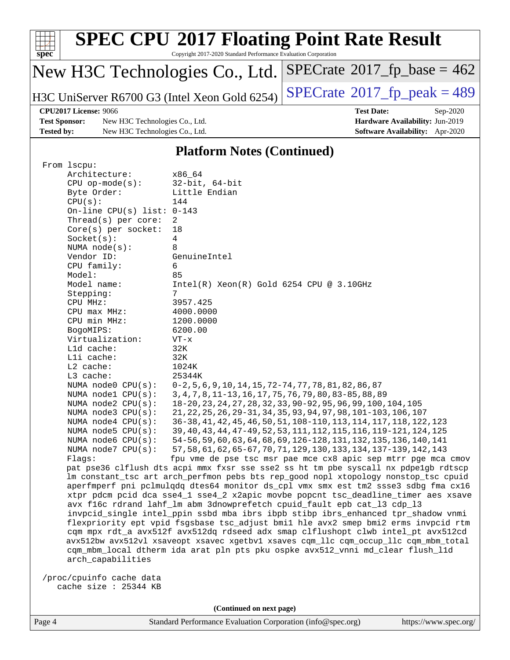| <b>SPEC CPU®2017 Floating Point Rate Result</b><br>spec <sup>®</sup><br>Copyright 2017-2020 Standard Performance Evaluation Corporation |                                                                                 |                                        |  |  |  |
|-----------------------------------------------------------------------------------------------------------------------------------------|---------------------------------------------------------------------------------|----------------------------------------|--|--|--|
| $SPECTate$ <sup>®</sup> 2017_fp_base = 462<br>New H3C Technologies Co., Ltd.                                                            |                                                                                 |                                        |  |  |  |
|                                                                                                                                         | $SPECTate@2017_fp\_peak = 489$<br>H3C UniServer R6700 G3 (Intel Xeon Gold 6254) |                                        |  |  |  |
| CPU2017 License: 9066                                                                                                                   |                                                                                 | <b>Test Date:</b><br>$Sep-2020$        |  |  |  |
| <b>Test Sponsor:</b>                                                                                                                    | New H3C Technologies Co., Ltd.                                                  | Hardware Availability: Jun-2019        |  |  |  |
| <b>Tested by:</b>                                                                                                                       | New H3C Technologies Co., Ltd.                                                  | <b>Software Availability:</b> Apr-2020 |  |  |  |
| <b>Platform Notes (Continued)</b><br>From 1scpu:                                                                                        |                                                                                 |                                        |  |  |  |

| Architecture:                | x86 64                                                                              |
|------------------------------|-------------------------------------------------------------------------------------|
| $CPU$ op-mode( $s$ ):        | $32$ -bit, $64$ -bit                                                                |
| Byte Order:                  | Little Endian                                                                       |
| CPU(s):                      | 144                                                                                 |
| On-line CPU(s) list: $0-143$ |                                                                                     |
| Thread(s) per core:          | $\overline{2}$                                                                      |
| Core(s) per socket:          | 18                                                                                  |
| Socket(s):                   | $\overline{4}$                                                                      |
| NUMA $node(s)$ :             | 8                                                                                   |
| Vendor ID:                   | GenuineIntel                                                                        |
| CPU family:                  | 6                                                                                   |
| Model:                       | 85                                                                                  |
| Model name:                  | $Intel(R)$ Xeon $(R)$ Gold 6254 CPU @ 3.10GHz                                       |
| Stepping:                    | 7                                                                                   |
| CPU MHz:                     | 3957.425                                                                            |
| CPU max MHz:                 | 4000.0000                                                                           |
| CPU min MHz:                 | 1200.0000                                                                           |
| BogoMIPS:                    | 6200.00                                                                             |
| Virtualization:              | $VT - x$                                                                            |
| L1d cache:                   | 32K                                                                                 |
| Lli cache:                   | 32K                                                                                 |
| L2 cache:                    | 1024K                                                                               |
| L3 cache:                    | 25344K                                                                              |
| NUMA $node0$ $CPU(s)$ :      | $0-2, 5, 6, 9, 10, 14, 15, 72-74, 77, 78, 81, 82, 86, 87$                           |
| NUMA nodel CPU(s):           | 3, 4, 7, 8, 11-13, 16, 17, 75, 76, 79, 80, 83-85, 88, 89                            |
| NUMA node2 CPU(s):           | 18-20, 23, 24, 27, 28, 32, 33, 90-92, 95, 96, 99, 100, 104, 105                     |
| NUMA node3 CPU(s):           | 21, 22, 25, 26, 29-31, 34, 35, 93, 94, 97, 98, 101-103, 106, 107                    |
| NUMA $node4$ $CPU(s):$       | 36-38, 41, 42, 45, 46, 50, 51, 108-110, 113, 114, 117, 118, 122, 123                |
| NUMA $node5$ $CPU(s):$       | 39, 40, 43, 44, 47-49, 52, 53, 111, 112, 115, 116, 119-121, 124, 125                |
| NUMA node6 CPU(s):           | 54-56, 59, 60, 63, 64, 68, 69, 126-128, 131, 132, 135, 136, 140, 141                |
| NUMA node7 CPU(s):           | 57, 58, 61, 62, 65-67, 70, 71, 129, 130, 133, 134, 137-139, 142, 143                |
| Flagg:                       | fpu vme de pse tsc msr pae mce cx8 apic sep mtrr pge mca cmov                       |
|                              | pat pse36 clflush dts acpi mmx fxsr sse sse2 ss ht tm pbe syscall nx pdpelgb rdtscp |
|                              | lm constant_tsc art arch_perfmon pebs bts rep_good nopl xtopology nonstop_tsc cpuid |
|                              | aperfmperf pni pclmulqdq dtes64 monitor ds_cpl vmx smx est tm2 ssse3 sdbg fma cx16  |
|                              | xtpr pdcm pcid dca sse4_1 sse4_2 x2apic movbe popcnt tsc_deadline_timer aes xsave   |
|                              | avx f16c rdrand lahf_lm abm 3dnowprefetch cpuid_fault epb cat_13 cdp_13             |
|                              | invocid single intel ppin ssbd mba ibrs ibpb stibp ibrs enhanced tpr shadow ynmi    |

 invpcid\_single intel\_ppin ssbd mba ibrs ibpb stibp ibrs\_enhanced tpr\_shadow vnmi flexpriority ept vpid fsgsbase tsc\_adjust bmi1 hle avx2 smep bmi2 erms invpcid rtm cqm mpx rdt\_a avx512f avx512dq rdseed adx smap clflushopt clwb intel\_pt avx512cd avx512bw avx512vl xsaveopt xsavec xgetbv1 xsaves cqm\_llc cqm\_occup\_llc cqm\_mbm\_total cqm\_mbm\_local dtherm ida arat pln pts pku ospke avx512\_vnni md\_clear flush\_l1d arch\_capabilities

 /proc/cpuinfo cache data cache size : 25344 KB

**(Continued on next page)**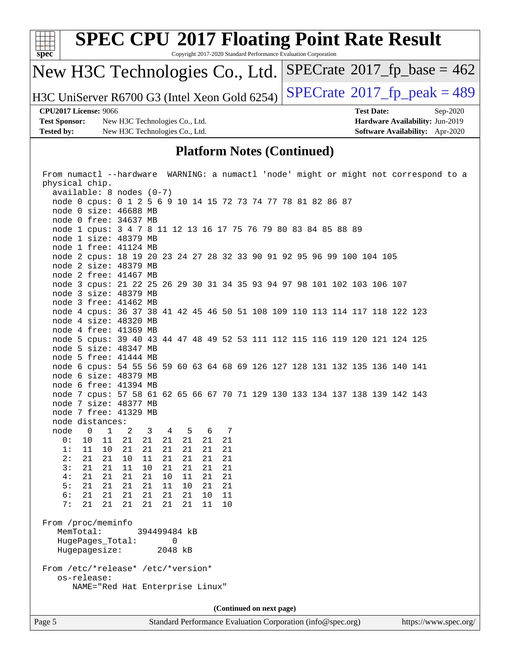

node 4 cpus: 36 37 38 41 42 45 46 50 51 108 109 110 113 114 117 118 122 123

node 5 cpus: 39 40 43 44 47 48 49 52 53 111 112 115 116 119 120 121 124 125

node 6 cpus: 54 55 56 59 60 63 64 68 69 126 127 128 131 132 135 136 140 141

node 7 cpus: 57 58 61 62 65 66 67 70 71 129 130 133 134 137 138 139 142 143

node 3 free: 41462 MB

 node 4 size: 48320 MB node 4 free: 41369 MB

 node 5 size: 48347 MB node 5 free: 41444 MB

 node 6 size: 48379 MB node 6 free: 41394 MB

 node 7 size: 48377 MB node 7 free: 41329 MB

 node 0 1 2 3 4 5 6 7 0: 10 11 21 21 21 21 21 21 1: 11 10 21 21 21 21 21 21 2: 21 21 10 11 21 21 21 21 3: 21 21 11 10 21 21 21 21 4: 21 21 21 21 10 11 21 21 5: 21 21 21 21 11 10 21 21 6: 21 21 21 21 21 21 10 11 7: 21 21 21 21 21 21 11 10

 MemTotal: 394499484 kB HugePages\_Total: 0 Hugepagesize: 2048 kB

From /etc/\*release\* /etc/\*version\*

NAME="Red Hat Enterprise Linux"

node distances:

From /proc/meminfo

os-release: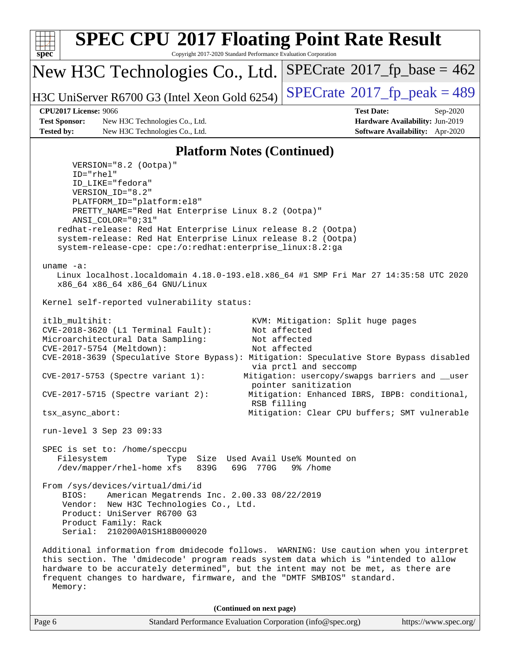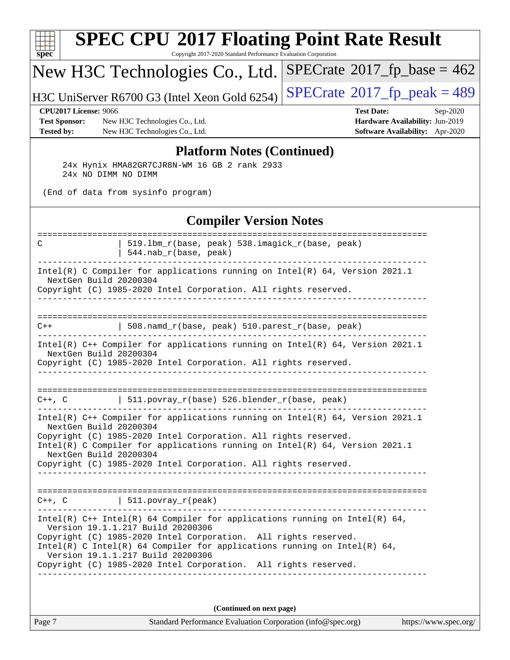| spec <sup>®</sup>                                                         | <b>SPEC CPU®2017 Floating Point Rate Result</b><br>Copyright 2017-2020 Standard Performance Evaluation Corporation                                                                                                                                                                                                                                                       |                                                                                                     |
|---------------------------------------------------------------------------|--------------------------------------------------------------------------------------------------------------------------------------------------------------------------------------------------------------------------------------------------------------------------------------------------------------------------------------------------------------------------|-----------------------------------------------------------------------------------------------------|
|                                                                           | New H3C Technologies Co., Ltd.                                                                                                                                                                                                                                                                                                                                           | $SPECrate^{\circ}2017$ fp base = 462                                                                |
|                                                                           | H3C UniServer R6700 G3 (Intel Xeon Gold 6254)                                                                                                                                                                                                                                                                                                                            | $SPECrate@2017_fp\_peak = 489$                                                                      |
| <b>CPU2017 License: 9066</b><br><b>Test Sponsor:</b><br><b>Tested by:</b> | New H3C Technologies Co., Ltd.<br>New H3C Technologies Co., Ltd.                                                                                                                                                                                                                                                                                                         | <b>Test Date:</b><br>Sep-2020<br>Hardware Availability: Jun-2019<br>Software Availability: Apr-2020 |
|                                                                           | <b>Platform Notes (Continued)</b><br>24x Hynix HMA82GR7CJR8N-WM 16 GB 2 rank 2933<br>24x NO DIMM NO DIMM<br>(End of data from sysinfo program)                                                                                                                                                                                                                           |                                                                                                     |
|                                                                           | <b>Compiler Version Notes</b>                                                                                                                                                                                                                                                                                                                                            |                                                                                                     |
| C                                                                         | 519.1bm_r(base, peak) 538.imagick_r(base, peak)<br>$544.nab_r(base, peak)$                                                                                                                                                                                                                                                                                               |                                                                                                     |
|                                                                           | Intel(R) C Compiler for applications running on Intel(R) 64, Version 2021.1<br>NextGen Build 20200304<br>Copyright (C) 1985-2020 Intel Corporation. All rights reserved.                                                                                                                                                                                                 |                                                                                                     |
| $C++$                                                                     | 508.namd_r(base, peak) 510.parest_r(base, peak)                                                                                                                                                                                                                                                                                                                          |                                                                                                     |
|                                                                           | Intel(R) C++ Compiler for applications running on Intel(R) 64, Version 2021.1<br>NextGen Build 20200304<br>Copyright (C) 1985-2020 Intel Corporation. All rights reserved.                                                                                                                                                                                               |                                                                                                     |
| $C++$ , $C$                                                               | $511.povray_r(base) 526.blender_r(base, peak)$                                                                                                                                                                                                                                                                                                                           |                                                                                                     |
|                                                                           | Intel(R) C++ Compiler for applications running on Intel(R) $64$ , Version 2021.1<br>NextGen Build 20200304<br>Copyright (C) 1985-2020 Intel Corporation. All rights reserved.<br>Intel(R) C Compiler for applications running on Intel(R) 64, Version 2021.1<br>NextGen Build 20200304<br>Copyright (C) 1985-2020 Intel Corporation. All rights reserved.                |                                                                                                     |
|                                                                           | $C++$ , C $\qquad \qquad \vert$ 511.povray_r(peak)                                                                                                                                                                                                                                                                                                                       |                                                                                                     |
|                                                                           | $Intel(R)$ C++ Intel(R) 64 Compiler for applications running on Intel(R) 64,<br>Version 19.1.1.217 Build 20200306<br>Copyright (C) 1985-2020 Intel Corporation. All rights reserved.<br>Intel(R) C Intel(R) 64 Compiler for applications running on Intel(R) 64,<br>Version 19.1.1.217 Build 20200306<br>Copyright (C) 1985-2020 Intel Corporation. All rights reserved. |                                                                                                     |
|                                                                           | (Continued on next page)                                                                                                                                                                                                                                                                                                                                                 |                                                                                                     |

| чσе |  |
|-----|--|
| . . |  |
|     |  |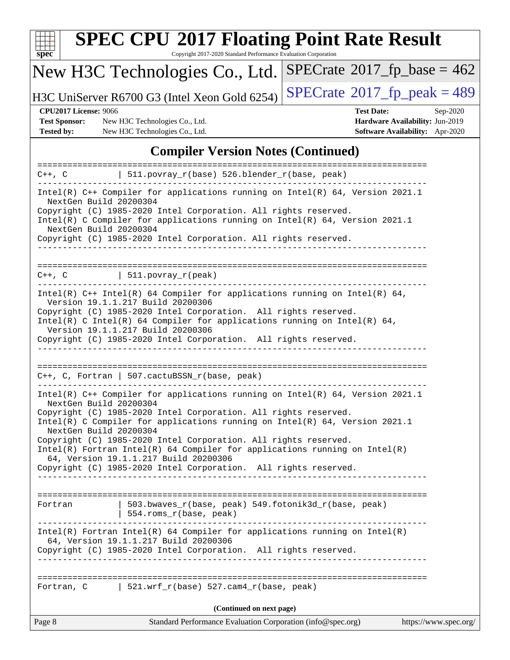

# **[SPEC CPU](http://www.spec.org/auto/cpu2017/Docs/result-fields.html#SPECCPU2017FloatingPointRateResult)[2017 Floating Point Rate Result](http://www.spec.org/auto/cpu2017/Docs/result-fields.html#SPECCPU2017FloatingPointRateResult)**

Copyright 2017-2020 Standard Performance Evaluation Corporation

## New H3C Technologies Co., Ltd.

H3C UniServer R6700 G3 (Intel Xeon Gold 6254) [SPECrate](http://www.spec.org/auto/cpu2017/Docs/result-fields.html#SPECrate2017fppeak)®2017\_fp\_peak =  $489$ 

 $SPECTate@2017_fp\_base = 462$ 

**[Test Sponsor:](http://www.spec.org/auto/cpu2017/Docs/result-fields.html#TestSponsor)** New H3C Technologies Co., Ltd. **[Hardware Availability:](http://www.spec.org/auto/cpu2017/Docs/result-fields.html#HardwareAvailability)** Jun-2019 **[Tested by:](http://www.spec.org/auto/cpu2017/Docs/result-fields.html#Testedby)** New H3C Technologies Co., Ltd. **[Software Availability:](http://www.spec.org/auto/cpu2017/Docs/result-fields.html#SoftwareAvailability)** Apr-2020

**[CPU2017 License:](http://www.spec.org/auto/cpu2017/Docs/result-fields.html#CPU2017License)** 9066 **[Test Date:](http://www.spec.org/auto/cpu2017/Docs/result-fields.html#TestDate)** Sep-2020

#### **[Compiler Version Notes \(Continued\)](http://www.spec.org/auto/cpu2017/Docs/result-fields.html#CompilerVersionNotes)**

|                                                  | $C++$ , C $\vert$ 511.povray_r(base) 526.blender_r(base, peak)                                                                                                                                                                                                                                                                                                                                                                   |                       |
|--------------------------------------------------|----------------------------------------------------------------------------------------------------------------------------------------------------------------------------------------------------------------------------------------------------------------------------------------------------------------------------------------------------------------------------------------------------------------------------------|-----------------------|
| NextGen Build 20200304<br>NextGen Build 20200304 | Intel(R) $C++$ Compiler for applications running on Intel(R) 64, Version 2021.1<br>Copyright (C) 1985-2020 Intel Corporation. All rights reserved.<br>Intel(R) C Compiler for applications running on Intel(R) $64$ , Version 2021.1                                                                                                                                                                                             |                       |
|                                                  | Copyright (C) 1985-2020 Intel Corporation. All rights reserved.                                                                                                                                                                                                                                                                                                                                                                  |                       |
|                                                  | $C++$ , $C$   511.povray_r(peak)                                                                                                                                                                                                                                                                                                                                                                                                 |                       |
|                                                  | Intel(R) $C++$ Intel(R) 64 Compiler for applications running on Intel(R) 64,<br>Version 19.1.1.217 Build 20200306<br>Copyright (C) 1985-2020 Intel Corporation. All rights reserved.<br>Intel(R) C Intel(R) 64 Compiler for applications running on Intel(R) 64,<br>Version 19.1.1.217 Build 20200306<br>Copyright (C) 1985-2020 Intel Corporation. All rights reserved.                                                         |                       |
|                                                  |                                                                                                                                                                                                                                                                                                                                                                                                                                  |                       |
|                                                  | $C++$ , C, Fortran   507.cactuBSSN_r(base, peak)                                                                                                                                                                                                                                                                                                                                                                                 |                       |
| NextGen Build 20200304<br>NextGen Build 20200304 | Intel(R) $C++$ Compiler for applications running on Intel(R) 64, Version 2021.1<br>Copyright (C) 1985-2020 Intel Corporation. All rights reserved.<br>Intel(R) C Compiler for applications running on $Intel(R) 64$ , Version 2021.1<br>Copyright (C) 1985-2020 Intel Corporation. All rights reserved.<br>Intel(R) Fortran Intel(R) 64 Compiler for applications running on $Intel(R)$<br>64, Version 19.1.1.217 Build 20200306 |                       |
|                                                  | Copyright (C) 1985-2020 Intel Corporation. All rights reserved.                                                                                                                                                                                                                                                                                                                                                                  |                       |
| Fortran                                          | 503.bwaves_r(base, peak) 549.fotonik3d_r(base, peak)<br>$\vert$ 554.roms_r(base, peak)                                                                                                                                                                                                                                                                                                                                           |                       |
|                                                  | $Intel(R)$ Fortran Intel(R) 64 Compiler for applications running on Intel(R)<br>64, Version 19.1.1.217 Build 20200306<br>Copyright (C) 1985-2020 Intel Corporation. All rights reserved.<br>____________________________________                                                                                                                                                                                                 |                       |
|                                                  | Fortran, C $\vert$ 521.wrf_r(base) 527.cam4_r(base, peak)                                                                                                                                                                                                                                                                                                                                                                        |                       |
|                                                  | (Continued on next page)                                                                                                                                                                                                                                                                                                                                                                                                         |                       |
| Page 8                                           | Standard Performance Evaluation Corporation (info@spec.org)                                                                                                                                                                                                                                                                                                                                                                      | https://www.spec.org/ |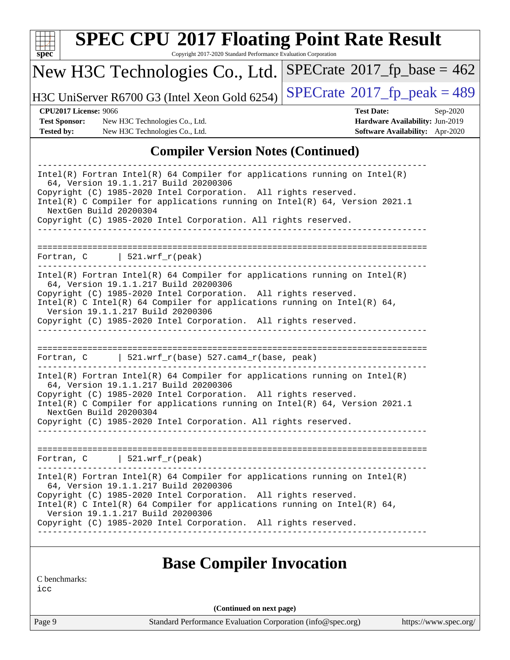| spec                                                                      | <b>SPEC CPU®2017 Floating Point Rate Result</b><br>Copyright 2017-2020 Standard Performance Evaluation Corporation                                                                                                                                                                                                                                                           |                                                                                                            |
|---------------------------------------------------------------------------|------------------------------------------------------------------------------------------------------------------------------------------------------------------------------------------------------------------------------------------------------------------------------------------------------------------------------------------------------------------------------|------------------------------------------------------------------------------------------------------------|
|                                                                           | New H3C Technologies Co., Ltd.                                                                                                                                                                                                                                                                                                                                               | $SPECrate^{\circledast}2017$ fp base = 462                                                                 |
|                                                                           | H3C UniServer R6700 G3 (Intel Xeon Gold 6254)                                                                                                                                                                                                                                                                                                                                | $SPECrate@2017_fp\_peak = 489$                                                                             |
| <b>CPU2017 License: 9066</b><br><b>Test Sponsor:</b><br><b>Tested by:</b> | New H3C Technologies Co., Ltd.<br>New H3C Technologies Co., Ltd.                                                                                                                                                                                                                                                                                                             | <b>Test Date:</b><br>Sep-2020<br>Hardware Availability: Jun-2019<br><b>Software Availability:</b> Apr-2020 |
|                                                                           | <b>Compiler Version Notes (Continued)</b>                                                                                                                                                                                                                                                                                                                                    |                                                                                                            |
|                                                                           | Copyright (C) 1985-2020 Intel Corporation. All rights reserved.<br>Intel(R) C Compiler for applications running on Intel(R) 64, Version 2021.1<br>NextGen Build 20200304<br>Copyright (C) 1985-2020 Intel Corporation. All rights reserved.<br>Fortran, $C$   521.wrf_r(peak)                                                                                                |                                                                                                            |
| ____________.                                                             | $Intel(R)$ Fortran Intel(R) 64 Compiler for applications running on Intel(R)<br>64, Version 19.1.1.217 Build 20200306<br>Copyright (C) 1985-2020 Intel Corporation. All rights reserved.<br>Intel(R) C Intel(R) 64 Compiler for applications running on Intel(R) 64,<br>Version 19.1.1.217 Build 20200306<br>Copyright (C) 1985-2020 Intel Corporation. All rights reserved. |                                                                                                            |
|                                                                           | Fortran, $C$   521.wrf_r(base) 527.cam4_r(base, peak)                                                                                                                                                                                                                                                                                                                        |                                                                                                            |
|                                                                           | $Intel(R)$ Fortran Intel(R) 64 Compiler for applications running on Intel(R)<br>64, Version 19.1.1.217 Build 20200306<br>Copyright (C) 1985-2020 Intel Corporation. All rights reserved.                                                                                                                                                                                     |                                                                                                            |

Intel(R) C Compiler for applications running on Intel(R) 64, Version 2021.1 NextGen Build 20200304 Copyright (C) 1985-2020 Intel Corporation. All rights reserved.

============================================================================== Fortran, C | 521.wrf\_r(peak) ------------------------------------------------------------------------------ Intel(R) Fortran Intel(R) 64 Compiler for applications running on Intel(R) 64, Version 19.1.1.217 Build 20200306 Copyright (C) 1985-2020 Intel Corporation. All rights reserved. Intel(R) C Intel(R) 64 Compiler for applications running on Intel(R)  $64$ , Version 19.1.1.217 Build 20200306 Copyright (C) 1985-2020 Intel Corporation. All rights reserved. ------------------------------------------------------------------------------

------------------------------------------------------------------------------

#### **[Base Compiler Invocation](http://www.spec.org/auto/cpu2017/Docs/result-fields.html#BaseCompilerInvocation)**

[C benchmarks:](http://www.spec.org/auto/cpu2017/Docs/result-fields.html#Cbenchmarks)

[icc](http://www.spec.org/cpu2017/results/res2020q4/cpu2017-20200927-24032.flags.html#user_CCbase_intel_icc_66fc1ee009f7361af1fbd72ca7dcefbb700085f36577c54f309893dd4ec40d12360134090235512931783d35fd58c0460139e722d5067c5574d8eaf2b3e37e92)

**(Continued on next page)**

Page 9 Standard Performance Evaluation Corporation [\(info@spec.org\)](mailto:info@spec.org) <https://www.spec.org/>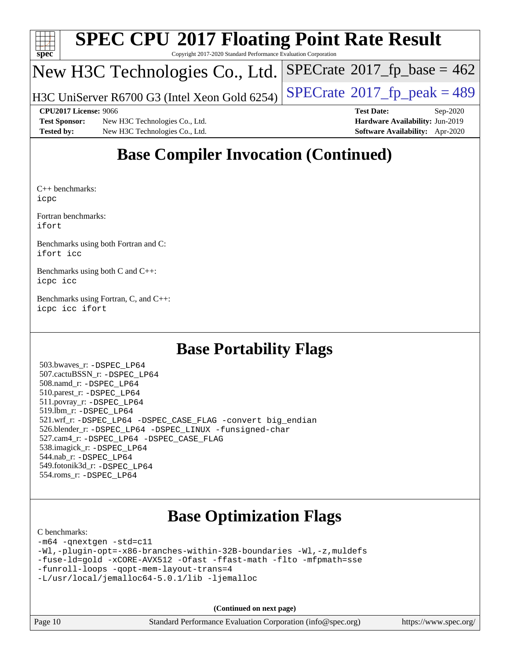

# **[SPEC CPU](http://www.spec.org/auto/cpu2017/Docs/result-fields.html#SPECCPU2017FloatingPointRateResult)[2017 Floating Point Rate Result](http://www.spec.org/auto/cpu2017/Docs/result-fields.html#SPECCPU2017FloatingPointRateResult)**

Copyright 2017-2020 Standard Performance Evaluation Corporation

#### New H3C Technologies Co., Ltd.

H3C UniServer R6700 G3 (Intel Xeon Gold 6254)  $\vert$  [SPECrate](http://www.spec.org/auto/cpu2017/Docs/result-fields.html#SPECrate2017fppeak)®[2017\\_fp\\_peak = 4](http://www.spec.org/auto/cpu2017/Docs/result-fields.html#SPECrate2017fppeak)89

 $SPECTate$ <sup>®</sup>[2017\\_fp\\_base =](http://www.spec.org/auto/cpu2017/Docs/result-fields.html#SPECrate2017fpbase) 462

**[Test Sponsor:](http://www.spec.org/auto/cpu2017/Docs/result-fields.html#TestSponsor)** New H3C Technologies Co., Ltd. **[Hardware Availability:](http://www.spec.org/auto/cpu2017/Docs/result-fields.html#HardwareAvailability)** Jun-2019 **[Tested by:](http://www.spec.org/auto/cpu2017/Docs/result-fields.html#Testedby)** New H3C Technologies Co., Ltd. **[Software Availability:](http://www.spec.org/auto/cpu2017/Docs/result-fields.html#SoftwareAvailability)** Apr-2020

**[CPU2017 License:](http://www.spec.org/auto/cpu2017/Docs/result-fields.html#CPU2017License)** 9066 **[Test Date:](http://www.spec.org/auto/cpu2017/Docs/result-fields.html#TestDate)** Sep-2020

## **[Base Compiler Invocation \(Continued\)](http://www.spec.org/auto/cpu2017/Docs/result-fields.html#BaseCompilerInvocation)**

[C++ benchmarks](http://www.spec.org/auto/cpu2017/Docs/result-fields.html#CXXbenchmarks): [icpc](http://www.spec.org/cpu2017/results/res2020q4/cpu2017-20200927-24032.flags.html#user_CXXbase_intel_icpc_c510b6838c7f56d33e37e94d029a35b4a7bccf4766a728ee175e80a419847e808290a9b78be685c44ab727ea267ec2f070ec5dc83b407c0218cded6866a35d07)

[Fortran benchmarks](http://www.spec.org/auto/cpu2017/Docs/result-fields.html#Fortranbenchmarks): [ifort](http://www.spec.org/cpu2017/results/res2020q4/cpu2017-20200927-24032.flags.html#user_FCbase_intel_ifort_8111460550e3ca792625aed983ce982f94888b8b503583aa7ba2b8303487b4d8a21a13e7191a45c5fd58ff318f48f9492884d4413fa793fd88dd292cad7027ca)

[Benchmarks using both Fortran and C:](http://www.spec.org/auto/cpu2017/Docs/result-fields.html#BenchmarksusingbothFortranandC) [ifort](http://www.spec.org/cpu2017/results/res2020q4/cpu2017-20200927-24032.flags.html#user_CC_FCbase_intel_ifort_8111460550e3ca792625aed983ce982f94888b8b503583aa7ba2b8303487b4d8a21a13e7191a45c5fd58ff318f48f9492884d4413fa793fd88dd292cad7027ca) [icc](http://www.spec.org/cpu2017/results/res2020q4/cpu2017-20200927-24032.flags.html#user_CC_FCbase_intel_icc_66fc1ee009f7361af1fbd72ca7dcefbb700085f36577c54f309893dd4ec40d12360134090235512931783d35fd58c0460139e722d5067c5574d8eaf2b3e37e92)

[Benchmarks using both C and C++](http://www.spec.org/auto/cpu2017/Docs/result-fields.html#BenchmarksusingbothCandCXX): [icpc](http://www.spec.org/cpu2017/results/res2020q4/cpu2017-20200927-24032.flags.html#user_CC_CXXbase_intel_icpc_c510b6838c7f56d33e37e94d029a35b4a7bccf4766a728ee175e80a419847e808290a9b78be685c44ab727ea267ec2f070ec5dc83b407c0218cded6866a35d07) [icc](http://www.spec.org/cpu2017/results/res2020q4/cpu2017-20200927-24032.flags.html#user_CC_CXXbase_intel_icc_66fc1ee009f7361af1fbd72ca7dcefbb700085f36577c54f309893dd4ec40d12360134090235512931783d35fd58c0460139e722d5067c5574d8eaf2b3e37e92)

[Benchmarks using Fortran, C, and C++:](http://www.spec.org/auto/cpu2017/Docs/result-fields.html#BenchmarksusingFortranCandCXX) [icpc](http://www.spec.org/cpu2017/results/res2020q4/cpu2017-20200927-24032.flags.html#user_CC_CXX_FCbase_intel_icpc_c510b6838c7f56d33e37e94d029a35b4a7bccf4766a728ee175e80a419847e808290a9b78be685c44ab727ea267ec2f070ec5dc83b407c0218cded6866a35d07) [icc](http://www.spec.org/cpu2017/results/res2020q4/cpu2017-20200927-24032.flags.html#user_CC_CXX_FCbase_intel_icc_66fc1ee009f7361af1fbd72ca7dcefbb700085f36577c54f309893dd4ec40d12360134090235512931783d35fd58c0460139e722d5067c5574d8eaf2b3e37e92) [ifort](http://www.spec.org/cpu2017/results/res2020q4/cpu2017-20200927-24032.flags.html#user_CC_CXX_FCbase_intel_ifort_8111460550e3ca792625aed983ce982f94888b8b503583aa7ba2b8303487b4d8a21a13e7191a45c5fd58ff318f48f9492884d4413fa793fd88dd292cad7027ca)

## **[Base Portability Flags](http://www.spec.org/auto/cpu2017/Docs/result-fields.html#BasePortabilityFlags)**

 503.bwaves\_r: [-DSPEC\\_LP64](http://www.spec.org/cpu2017/results/res2020q4/cpu2017-20200927-24032.flags.html#suite_basePORTABILITY503_bwaves_r_DSPEC_LP64) 507.cactuBSSN\_r: [-DSPEC\\_LP64](http://www.spec.org/cpu2017/results/res2020q4/cpu2017-20200927-24032.flags.html#suite_basePORTABILITY507_cactuBSSN_r_DSPEC_LP64) 508.namd\_r: [-DSPEC\\_LP64](http://www.spec.org/cpu2017/results/res2020q4/cpu2017-20200927-24032.flags.html#suite_basePORTABILITY508_namd_r_DSPEC_LP64) 510.parest\_r: [-DSPEC\\_LP64](http://www.spec.org/cpu2017/results/res2020q4/cpu2017-20200927-24032.flags.html#suite_basePORTABILITY510_parest_r_DSPEC_LP64) 511.povray\_r: [-DSPEC\\_LP64](http://www.spec.org/cpu2017/results/res2020q4/cpu2017-20200927-24032.flags.html#suite_basePORTABILITY511_povray_r_DSPEC_LP64) 519.lbm\_r: [-DSPEC\\_LP64](http://www.spec.org/cpu2017/results/res2020q4/cpu2017-20200927-24032.flags.html#suite_basePORTABILITY519_lbm_r_DSPEC_LP64) 521.wrf\_r: [-DSPEC\\_LP64](http://www.spec.org/cpu2017/results/res2020q4/cpu2017-20200927-24032.flags.html#suite_basePORTABILITY521_wrf_r_DSPEC_LP64) [-DSPEC\\_CASE\\_FLAG](http://www.spec.org/cpu2017/results/res2020q4/cpu2017-20200927-24032.flags.html#b521.wrf_r_baseCPORTABILITY_DSPEC_CASE_FLAG) [-convert big\\_endian](http://www.spec.org/cpu2017/results/res2020q4/cpu2017-20200927-24032.flags.html#user_baseFPORTABILITY521_wrf_r_convert_big_endian_c3194028bc08c63ac5d04de18c48ce6d347e4e562e8892b8bdbdc0214820426deb8554edfa529a3fb25a586e65a3d812c835984020483e7e73212c4d31a38223) 526.blender\_r: [-DSPEC\\_LP64](http://www.spec.org/cpu2017/results/res2020q4/cpu2017-20200927-24032.flags.html#suite_basePORTABILITY526_blender_r_DSPEC_LP64) [-DSPEC\\_LINUX](http://www.spec.org/cpu2017/results/res2020q4/cpu2017-20200927-24032.flags.html#b526.blender_r_baseCPORTABILITY_DSPEC_LINUX) [-funsigned-char](http://www.spec.org/cpu2017/results/res2020q4/cpu2017-20200927-24032.flags.html#user_baseCPORTABILITY526_blender_r_force_uchar_40c60f00ab013830e2dd6774aeded3ff59883ba5a1fc5fc14077f794d777847726e2a5858cbc7672e36e1b067e7e5c1d9a74f7176df07886a243d7cc18edfe67) 527.cam4\_r: [-DSPEC\\_LP64](http://www.spec.org/cpu2017/results/res2020q4/cpu2017-20200927-24032.flags.html#suite_basePORTABILITY527_cam4_r_DSPEC_LP64) [-DSPEC\\_CASE\\_FLAG](http://www.spec.org/cpu2017/results/res2020q4/cpu2017-20200927-24032.flags.html#b527.cam4_r_baseCPORTABILITY_DSPEC_CASE_FLAG) 538.imagick\_r: [-DSPEC\\_LP64](http://www.spec.org/cpu2017/results/res2020q4/cpu2017-20200927-24032.flags.html#suite_basePORTABILITY538_imagick_r_DSPEC_LP64) 544.nab\_r: [-DSPEC\\_LP64](http://www.spec.org/cpu2017/results/res2020q4/cpu2017-20200927-24032.flags.html#suite_basePORTABILITY544_nab_r_DSPEC_LP64) 549.fotonik3d\_r: [-DSPEC\\_LP64](http://www.spec.org/cpu2017/results/res2020q4/cpu2017-20200927-24032.flags.html#suite_basePORTABILITY549_fotonik3d_r_DSPEC_LP64) 554.roms\_r: [-DSPEC\\_LP64](http://www.spec.org/cpu2017/results/res2020q4/cpu2017-20200927-24032.flags.html#suite_basePORTABILITY554_roms_r_DSPEC_LP64)

## **[Base Optimization Flags](http://www.spec.org/auto/cpu2017/Docs/result-fields.html#BaseOptimizationFlags)**

#### [C benchmarks](http://www.spec.org/auto/cpu2017/Docs/result-fields.html#Cbenchmarks):

```
-m64 -qnextgen -std=c11
-Wl,-plugin-opt=-x86-branches-within-32B-boundaries -Wl,-z,muldefs
-fuse-ld=gold -xCORE-AVX512 -Ofast -ffast-math -flto -mfpmath=sse
-funroll-loops -qopt-mem-layout-trans=4
-L/usr/local/jemalloc64-5.0.1/lib -ljemalloc
```
**(Continued on next page)**

| Page $10$ | Standard Performance Evaluation Corporation (info |  |
|-----------|---------------------------------------------------|--|
|           |                                                   |  |

o@spec.org) <https://www.spec.org/>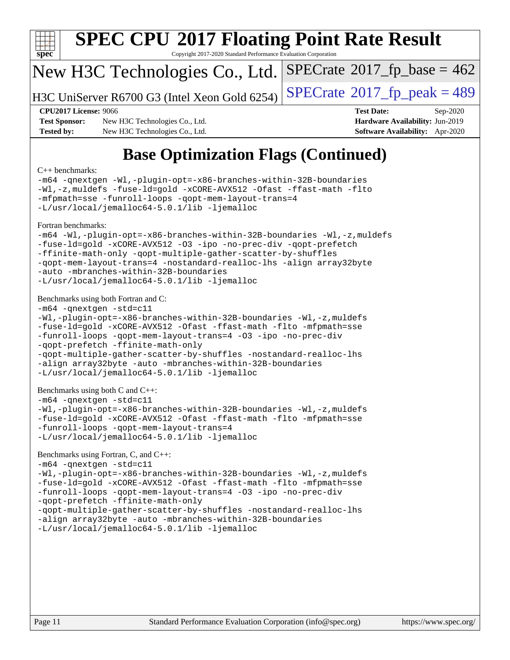

# **[SPEC CPU](http://www.spec.org/auto/cpu2017/Docs/result-fields.html#SPECCPU2017FloatingPointRateResult)[2017 Floating Point Rate Result](http://www.spec.org/auto/cpu2017/Docs/result-fields.html#SPECCPU2017FloatingPointRateResult)**

Copyright 2017-2020 Standard Performance Evaluation Corporation

#### New H3C Technologies Co., Ltd.

H3C UniServer R6700 G3 (Intel Xeon Gold 6254) [SPECrate](http://www.spec.org/auto/cpu2017/Docs/result-fields.html#SPECrate2017fppeak)®2017\_fp\_peak =  $489$ 

 $SPECTate$ <sup>®</sup>[2017\\_fp\\_base =](http://www.spec.org/auto/cpu2017/Docs/result-fields.html#SPECrate2017fpbase) 462

**[Test Sponsor:](http://www.spec.org/auto/cpu2017/Docs/result-fields.html#TestSponsor)** New H3C Technologies Co., Ltd. **[Hardware Availability:](http://www.spec.org/auto/cpu2017/Docs/result-fields.html#HardwareAvailability)** Jun-2019 **[Tested by:](http://www.spec.org/auto/cpu2017/Docs/result-fields.html#Testedby)** New H3C Technologies Co., Ltd. **[Software Availability:](http://www.spec.org/auto/cpu2017/Docs/result-fields.html#SoftwareAvailability)** Apr-2020

**[CPU2017 License:](http://www.spec.org/auto/cpu2017/Docs/result-fields.html#CPU2017License)** 9066 **[Test Date:](http://www.spec.org/auto/cpu2017/Docs/result-fields.html#TestDate)** Sep-2020

## **[Base Optimization Flags \(Continued\)](http://www.spec.org/auto/cpu2017/Docs/result-fields.html#BaseOptimizationFlags)**

#### [C++ benchmarks:](http://www.spec.org/auto/cpu2017/Docs/result-fields.html#CXXbenchmarks)

[-m64](http://www.spec.org/cpu2017/results/res2020q4/cpu2017-20200927-24032.flags.html#user_CXXbase_m64-icc) [-qnextgen](http://www.spec.org/cpu2017/results/res2020q4/cpu2017-20200927-24032.flags.html#user_CXXbase_f-qnextgen) [-Wl,-plugin-opt=-x86-branches-within-32B-boundaries](http://www.spec.org/cpu2017/results/res2020q4/cpu2017-20200927-24032.flags.html#user_CXXbase_f-x86-branches-within-32B-boundaries_0098b4e4317ae60947b7b728078a624952a08ac37a3c797dfb4ffeb399e0c61a9dd0f2f44ce917e9361fb9076ccb15e7824594512dd315205382d84209e912f3) [-Wl,-z,muldefs](http://www.spec.org/cpu2017/results/res2020q4/cpu2017-20200927-24032.flags.html#user_CXXbase_link_force_multiple1_b4cbdb97b34bdee9ceefcfe54f4c8ea74255f0b02a4b23e853cdb0e18eb4525ac79b5a88067c842dd0ee6996c24547a27a4b99331201badda8798ef8a743f577) [-fuse-ld=gold](http://www.spec.org/cpu2017/results/res2020q4/cpu2017-20200927-24032.flags.html#user_CXXbase_f-fuse-ld_920b3586e2b8c6e0748b9c84fa9b744736ba725a32cab14ad8f3d4ad28eecb2f59d1144823d2e17006539a88734fe1fc08fc3035f7676166309105a78aaabc32) [-xCORE-AVX512](http://www.spec.org/cpu2017/results/res2020q4/cpu2017-20200927-24032.flags.html#user_CXXbase_f-xCORE-AVX512) [-Ofast](http://www.spec.org/cpu2017/results/res2020q4/cpu2017-20200927-24032.flags.html#user_CXXbase_f-Ofast) [-ffast-math](http://www.spec.org/cpu2017/results/res2020q4/cpu2017-20200927-24032.flags.html#user_CXXbase_f-ffast-math) [-flto](http://www.spec.org/cpu2017/results/res2020q4/cpu2017-20200927-24032.flags.html#user_CXXbase_f-flto) [-mfpmath=sse](http://www.spec.org/cpu2017/results/res2020q4/cpu2017-20200927-24032.flags.html#user_CXXbase_f-mfpmath_70eb8fac26bde974f8ab713bc9086c5621c0b8d2f6c86f38af0bd7062540daf19db5f3a066d8c6684be05d84c9b6322eb3b5be6619d967835195b93d6c02afa1) [-funroll-loops](http://www.spec.org/cpu2017/results/res2020q4/cpu2017-20200927-24032.flags.html#user_CXXbase_f-funroll-loops) [-qopt-mem-layout-trans=4](http://www.spec.org/cpu2017/results/res2020q4/cpu2017-20200927-24032.flags.html#user_CXXbase_f-qopt-mem-layout-trans_fa39e755916c150a61361b7846f310bcdf6f04e385ef281cadf3647acec3f0ae266d1a1d22d972a7087a248fd4e6ca390a3634700869573d231a252c784941a8) [-L/usr/local/jemalloc64-5.0.1/lib](http://www.spec.org/cpu2017/results/res2020q4/cpu2017-20200927-24032.flags.html#user_CXXbase_jemalloc_link_path64_1_cc289568b1a6c0fd3b62c91b824c27fcb5af5e8098e6ad028160d21144ef1b8aef3170d2acf0bee98a8da324cfe4f67d0a3d0c4cc4673d993d694dc2a0df248b) [-ljemalloc](http://www.spec.org/cpu2017/results/res2020q4/cpu2017-20200927-24032.flags.html#user_CXXbase_jemalloc_link_lib_d1249b907c500fa1c0672f44f562e3d0f79738ae9e3c4a9c376d49f265a04b9c99b167ecedbf6711b3085be911c67ff61f150a17b3472be731631ba4d0471706) [Fortran benchmarks](http://www.spec.org/auto/cpu2017/Docs/result-fields.html#Fortranbenchmarks): [-m64](http://www.spec.org/cpu2017/results/res2020q4/cpu2017-20200927-24032.flags.html#user_FCbase_m64-icc) [-Wl,-plugin-opt=-x86-branches-within-32B-boundaries](http://www.spec.org/cpu2017/results/res2020q4/cpu2017-20200927-24032.flags.html#user_FCbase_f-x86-branches-within-32B-boundaries_0098b4e4317ae60947b7b728078a624952a08ac37a3c797dfb4ffeb399e0c61a9dd0f2f44ce917e9361fb9076ccb15e7824594512dd315205382d84209e912f3) [-Wl,-z,muldefs](http://www.spec.org/cpu2017/results/res2020q4/cpu2017-20200927-24032.flags.html#user_FCbase_link_force_multiple1_b4cbdb97b34bdee9ceefcfe54f4c8ea74255f0b02a4b23e853cdb0e18eb4525ac79b5a88067c842dd0ee6996c24547a27a4b99331201badda8798ef8a743f577) [-fuse-ld=gold](http://www.spec.org/cpu2017/results/res2020q4/cpu2017-20200927-24032.flags.html#user_FCbase_f-fuse-ld_920b3586e2b8c6e0748b9c84fa9b744736ba725a32cab14ad8f3d4ad28eecb2f59d1144823d2e17006539a88734fe1fc08fc3035f7676166309105a78aaabc32) [-xCORE-AVX512](http://www.spec.org/cpu2017/results/res2020q4/cpu2017-20200927-24032.flags.html#user_FCbase_f-xCORE-AVX512) [-O3](http://www.spec.org/cpu2017/results/res2020q4/cpu2017-20200927-24032.flags.html#user_FCbase_f-O3) [-ipo](http://www.spec.org/cpu2017/results/res2020q4/cpu2017-20200927-24032.flags.html#user_FCbase_f-ipo) [-no-prec-div](http://www.spec.org/cpu2017/results/res2020q4/cpu2017-20200927-24032.flags.html#user_FCbase_f-no-prec-div) [-qopt-prefetch](http://www.spec.org/cpu2017/results/res2020q4/cpu2017-20200927-24032.flags.html#user_FCbase_f-qopt-prefetch) [-ffinite-math-only](http://www.spec.org/cpu2017/results/res2020q4/cpu2017-20200927-24032.flags.html#user_FCbase_f_finite_math_only_cb91587bd2077682c4b38af759c288ed7c732db004271a9512da14a4f8007909a5f1427ecbf1a0fb78ff2a814402c6114ac565ca162485bbcae155b5e4258871) [-qopt-multiple-gather-scatter-by-shuffles](http://www.spec.org/cpu2017/results/res2020q4/cpu2017-20200927-24032.flags.html#user_FCbase_f-qopt-multiple-gather-scatter-by-shuffles) [-qopt-mem-layout-trans=4](http://www.spec.org/cpu2017/results/res2020q4/cpu2017-20200927-24032.flags.html#user_FCbase_f-qopt-mem-layout-trans_fa39e755916c150a61361b7846f310bcdf6f04e385ef281cadf3647acec3f0ae266d1a1d22d972a7087a248fd4e6ca390a3634700869573d231a252c784941a8) [-nostandard-realloc-lhs](http://www.spec.org/cpu2017/results/res2020q4/cpu2017-20200927-24032.flags.html#user_FCbase_f_2003_std_realloc_82b4557e90729c0f113870c07e44d33d6f5a304b4f63d4c15d2d0f1fab99f5daaed73bdb9275d9ae411527f28b936061aa8b9c8f2d63842963b95c9dd6426b8a) [-align array32byte](http://www.spec.org/cpu2017/results/res2020q4/cpu2017-20200927-24032.flags.html#user_FCbase_align_array32byte_b982fe038af199962ba9a80c053b8342c548c85b40b8e86eb3cc33dee0d7986a4af373ac2d51c3f7cf710a18d62fdce2948f201cd044323541f22fc0fffc51b6) [-auto](http://www.spec.org/cpu2017/results/res2020q4/cpu2017-20200927-24032.flags.html#user_FCbase_f-auto) [-mbranches-within-32B-boundaries](http://www.spec.org/cpu2017/results/res2020q4/cpu2017-20200927-24032.flags.html#user_FCbase_f-mbranches-within-32B-boundaries) [-L/usr/local/jemalloc64-5.0.1/lib](http://www.spec.org/cpu2017/results/res2020q4/cpu2017-20200927-24032.flags.html#user_FCbase_jemalloc_link_path64_1_cc289568b1a6c0fd3b62c91b824c27fcb5af5e8098e6ad028160d21144ef1b8aef3170d2acf0bee98a8da324cfe4f67d0a3d0c4cc4673d993d694dc2a0df248b) [-ljemalloc](http://www.spec.org/cpu2017/results/res2020q4/cpu2017-20200927-24032.flags.html#user_FCbase_jemalloc_link_lib_d1249b907c500fa1c0672f44f562e3d0f79738ae9e3c4a9c376d49f265a04b9c99b167ecedbf6711b3085be911c67ff61f150a17b3472be731631ba4d0471706) [Benchmarks using both Fortran and C](http://www.spec.org/auto/cpu2017/Docs/result-fields.html#BenchmarksusingbothFortranandC): [-m64](http://www.spec.org/cpu2017/results/res2020q4/cpu2017-20200927-24032.flags.html#user_CC_FCbase_m64-icc) [-qnextgen](http://www.spec.org/cpu2017/results/res2020q4/cpu2017-20200927-24032.flags.html#user_CC_FCbase_f-qnextgen) [-std=c11](http://www.spec.org/cpu2017/results/res2020q4/cpu2017-20200927-24032.flags.html#user_CC_FCbase_std-icc-std_0e1c27790398a4642dfca32ffe6c27b5796f9c2d2676156f2e42c9c44eaad0c049b1cdb667a270c34d979996257aeb8fc440bfb01818dbc9357bd9d174cb8524) [-Wl,-plugin-opt=-x86-branches-within-32B-boundaries](http://www.spec.org/cpu2017/results/res2020q4/cpu2017-20200927-24032.flags.html#user_CC_FCbase_f-x86-branches-within-32B-boundaries_0098b4e4317ae60947b7b728078a624952a08ac37a3c797dfb4ffeb399e0c61a9dd0f2f44ce917e9361fb9076ccb15e7824594512dd315205382d84209e912f3) [-Wl,-z,muldefs](http://www.spec.org/cpu2017/results/res2020q4/cpu2017-20200927-24032.flags.html#user_CC_FCbase_link_force_multiple1_b4cbdb97b34bdee9ceefcfe54f4c8ea74255f0b02a4b23e853cdb0e18eb4525ac79b5a88067c842dd0ee6996c24547a27a4b99331201badda8798ef8a743f577) [-fuse-ld=gold](http://www.spec.org/cpu2017/results/res2020q4/cpu2017-20200927-24032.flags.html#user_CC_FCbase_f-fuse-ld_920b3586e2b8c6e0748b9c84fa9b744736ba725a32cab14ad8f3d4ad28eecb2f59d1144823d2e17006539a88734fe1fc08fc3035f7676166309105a78aaabc32) [-xCORE-AVX512](http://www.spec.org/cpu2017/results/res2020q4/cpu2017-20200927-24032.flags.html#user_CC_FCbase_f-xCORE-AVX512) [-Ofast](http://www.spec.org/cpu2017/results/res2020q4/cpu2017-20200927-24032.flags.html#user_CC_FCbase_f-Ofast) [-ffast-math](http://www.spec.org/cpu2017/results/res2020q4/cpu2017-20200927-24032.flags.html#user_CC_FCbase_f-ffast-math) [-flto](http://www.spec.org/cpu2017/results/res2020q4/cpu2017-20200927-24032.flags.html#user_CC_FCbase_f-flto) [-mfpmath=sse](http://www.spec.org/cpu2017/results/res2020q4/cpu2017-20200927-24032.flags.html#user_CC_FCbase_f-mfpmath_70eb8fac26bde974f8ab713bc9086c5621c0b8d2f6c86f38af0bd7062540daf19db5f3a066d8c6684be05d84c9b6322eb3b5be6619d967835195b93d6c02afa1) [-funroll-loops](http://www.spec.org/cpu2017/results/res2020q4/cpu2017-20200927-24032.flags.html#user_CC_FCbase_f-funroll-loops) [-qopt-mem-layout-trans=4](http://www.spec.org/cpu2017/results/res2020q4/cpu2017-20200927-24032.flags.html#user_CC_FCbase_f-qopt-mem-layout-trans_fa39e755916c150a61361b7846f310bcdf6f04e385ef281cadf3647acec3f0ae266d1a1d22d972a7087a248fd4e6ca390a3634700869573d231a252c784941a8) [-O3](http://www.spec.org/cpu2017/results/res2020q4/cpu2017-20200927-24032.flags.html#user_CC_FCbase_f-O3) [-ipo](http://www.spec.org/cpu2017/results/res2020q4/cpu2017-20200927-24032.flags.html#user_CC_FCbase_f-ipo) [-no-prec-div](http://www.spec.org/cpu2017/results/res2020q4/cpu2017-20200927-24032.flags.html#user_CC_FCbase_f-no-prec-div) [-qopt-prefetch](http://www.spec.org/cpu2017/results/res2020q4/cpu2017-20200927-24032.flags.html#user_CC_FCbase_f-qopt-prefetch) [-ffinite-math-only](http://www.spec.org/cpu2017/results/res2020q4/cpu2017-20200927-24032.flags.html#user_CC_FCbase_f_finite_math_only_cb91587bd2077682c4b38af759c288ed7c732db004271a9512da14a4f8007909a5f1427ecbf1a0fb78ff2a814402c6114ac565ca162485bbcae155b5e4258871) [-qopt-multiple-gather-scatter-by-shuffles](http://www.spec.org/cpu2017/results/res2020q4/cpu2017-20200927-24032.flags.html#user_CC_FCbase_f-qopt-multiple-gather-scatter-by-shuffles) [-nostandard-realloc-lhs](http://www.spec.org/cpu2017/results/res2020q4/cpu2017-20200927-24032.flags.html#user_CC_FCbase_f_2003_std_realloc_82b4557e90729c0f113870c07e44d33d6f5a304b4f63d4c15d2d0f1fab99f5daaed73bdb9275d9ae411527f28b936061aa8b9c8f2d63842963b95c9dd6426b8a) [-align array32byte](http://www.spec.org/cpu2017/results/res2020q4/cpu2017-20200927-24032.flags.html#user_CC_FCbase_align_array32byte_b982fe038af199962ba9a80c053b8342c548c85b40b8e86eb3cc33dee0d7986a4af373ac2d51c3f7cf710a18d62fdce2948f201cd044323541f22fc0fffc51b6) [-auto](http://www.spec.org/cpu2017/results/res2020q4/cpu2017-20200927-24032.flags.html#user_CC_FCbase_f-auto) [-mbranches-within-32B-boundaries](http://www.spec.org/cpu2017/results/res2020q4/cpu2017-20200927-24032.flags.html#user_CC_FCbase_f-mbranches-within-32B-boundaries) [-L/usr/local/jemalloc64-5.0.1/lib](http://www.spec.org/cpu2017/results/res2020q4/cpu2017-20200927-24032.flags.html#user_CC_FCbase_jemalloc_link_path64_1_cc289568b1a6c0fd3b62c91b824c27fcb5af5e8098e6ad028160d21144ef1b8aef3170d2acf0bee98a8da324cfe4f67d0a3d0c4cc4673d993d694dc2a0df248b) [-ljemalloc](http://www.spec.org/cpu2017/results/res2020q4/cpu2017-20200927-24032.flags.html#user_CC_FCbase_jemalloc_link_lib_d1249b907c500fa1c0672f44f562e3d0f79738ae9e3c4a9c376d49f265a04b9c99b167ecedbf6711b3085be911c67ff61f150a17b3472be731631ba4d0471706) [Benchmarks using both C and C++](http://www.spec.org/auto/cpu2017/Docs/result-fields.html#BenchmarksusingbothCandCXX): [-m64](http://www.spec.org/cpu2017/results/res2020q4/cpu2017-20200927-24032.flags.html#user_CC_CXXbase_m64-icc) [-qnextgen](http://www.spec.org/cpu2017/results/res2020q4/cpu2017-20200927-24032.flags.html#user_CC_CXXbase_f-qnextgen) [-std=c11](http://www.spec.org/cpu2017/results/res2020q4/cpu2017-20200927-24032.flags.html#user_CC_CXXbase_std-icc-std_0e1c27790398a4642dfca32ffe6c27b5796f9c2d2676156f2e42c9c44eaad0c049b1cdb667a270c34d979996257aeb8fc440bfb01818dbc9357bd9d174cb8524) [-Wl,-plugin-opt=-x86-branches-within-32B-boundaries](http://www.spec.org/cpu2017/results/res2020q4/cpu2017-20200927-24032.flags.html#user_CC_CXXbase_f-x86-branches-within-32B-boundaries_0098b4e4317ae60947b7b728078a624952a08ac37a3c797dfb4ffeb399e0c61a9dd0f2f44ce917e9361fb9076ccb15e7824594512dd315205382d84209e912f3) [-Wl,-z,muldefs](http://www.spec.org/cpu2017/results/res2020q4/cpu2017-20200927-24032.flags.html#user_CC_CXXbase_link_force_multiple1_b4cbdb97b34bdee9ceefcfe54f4c8ea74255f0b02a4b23e853cdb0e18eb4525ac79b5a88067c842dd0ee6996c24547a27a4b99331201badda8798ef8a743f577) [-fuse-ld=gold](http://www.spec.org/cpu2017/results/res2020q4/cpu2017-20200927-24032.flags.html#user_CC_CXXbase_f-fuse-ld_920b3586e2b8c6e0748b9c84fa9b744736ba725a32cab14ad8f3d4ad28eecb2f59d1144823d2e17006539a88734fe1fc08fc3035f7676166309105a78aaabc32) [-xCORE-AVX512](http://www.spec.org/cpu2017/results/res2020q4/cpu2017-20200927-24032.flags.html#user_CC_CXXbase_f-xCORE-AVX512) [-Ofast](http://www.spec.org/cpu2017/results/res2020q4/cpu2017-20200927-24032.flags.html#user_CC_CXXbase_f-Ofast) [-ffast-math](http://www.spec.org/cpu2017/results/res2020q4/cpu2017-20200927-24032.flags.html#user_CC_CXXbase_f-ffast-math) [-flto](http://www.spec.org/cpu2017/results/res2020q4/cpu2017-20200927-24032.flags.html#user_CC_CXXbase_f-flto) [-mfpmath=sse](http://www.spec.org/cpu2017/results/res2020q4/cpu2017-20200927-24032.flags.html#user_CC_CXXbase_f-mfpmath_70eb8fac26bde974f8ab713bc9086c5621c0b8d2f6c86f38af0bd7062540daf19db5f3a066d8c6684be05d84c9b6322eb3b5be6619d967835195b93d6c02afa1) [-funroll-loops](http://www.spec.org/cpu2017/results/res2020q4/cpu2017-20200927-24032.flags.html#user_CC_CXXbase_f-funroll-loops) [-qopt-mem-layout-trans=4](http://www.spec.org/cpu2017/results/res2020q4/cpu2017-20200927-24032.flags.html#user_CC_CXXbase_f-qopt-mem-layout-trans_fa39e755916c150a61361b7846f310bcdf6f04e385ef281cadf3647acec3f0ae266d1a1d22d972a7087a248fd4e6ca390a3634700869573d231a252c784941a8) [-L/usr/local/jemalloc64-5.0.1/lib](http://www.spec.org/cpu2017/results/res2020q4/cpu2017-20200927-24032.flags.html#user_CC_CXXbase_jemalloc_link_path64_1_cc289568b1a6c0fd3b62c91b824c27fcb5af5e8098e6ad028160d21144ef1b8aef3170d2acf0bee98a8da324cfe4f67d0a3d0c4cc4673d993d694dc2a0df248b) [-ljemalloc](http://www.spec.org/cpu2017/results/res2020q4/cpu2017-20200927-24032.flags.html#user_CC_CXXbase_jemalloc_link_lib_d1249b907c500fa1c0672f44f562e3d0f79738ae9e3c4a9c376d49f265a04b9c99b167ecedbf6711b3085be911c67ff61f150a17b3472be731631ba4d0471706)

#### [Benchmarks using Fortran, C, and C++:](http://www.spec.org/auto/cpu2017/Docs/result-fields.html#BenchmarksusingFortranCandCXX)

```
-m64 -qnextgen -std=c11
-Wl,-plugin-opt=-x86-branches-within-32B-boundaries -Wl,-z,muldefs
-fuse-ld=gold -xCORE-AVX512 -Ofast -ffast-math -flto -mfpmath=sse
-funroll-loops -qopt-mem-layout-trans=4 -O3 -ipo -no-prec-div
-qopt-prefetch -ffinite-math-only
-qopt-multiple-gather-scatter-by-shuffles -nostandard-realloc-lhs
-align array32byte -auto -mbranches-within-32B-boundaries
-L/usr/local/jemalloc64-5.0.1/lib -ljemalloc
```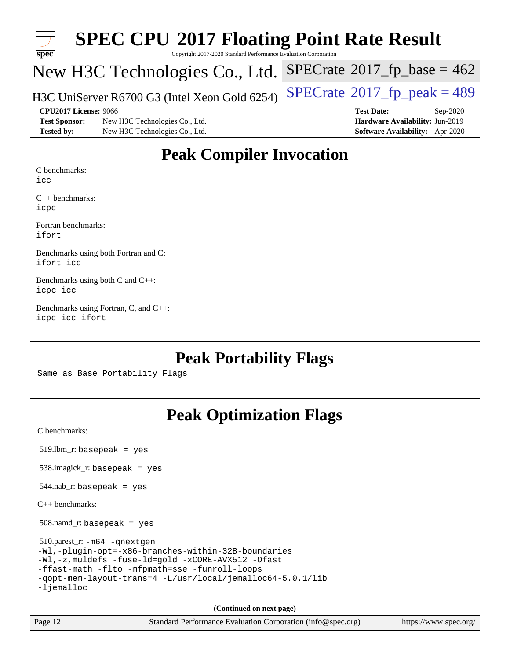| Spec                 | <b>SPEC CPU®2017 Floating Point Rate Result</b><br>Copyright 2017-2020 Standard Performance Evaluation Corporation |                                                            |
|----------------------|--------------------------------------------------------------------------------------------------------------------|------------------------------------------------------------|
|                      |                                                                                                                    | New H3C Technologies Co., Ltd. SPECrate®2017_fp_base = 462 |
|                      | H3C UniServer R6700 G3 (Intel Xeon Gold 6254)                                                                      | $SPECrate^{\circ}2017fr peak = 489$                        |
|                      | CPU2017 License: 9066                                                                                              | <b>Test Date:</b><br>$Sep-2020$                            |
| <b>Test Sponsor:</b> | New H3C Technologies Co., Ltd.                                                                                     | Hardware Availability: Jun-2019                            |
| <b>Tested by:</b>    | New H3C Technologies Co., Ltd.                                                                                     | Software Availability: Apr-2020                            |

#### **[Peak Compiler Invocation](http://www.spec.org/auto/cpu2017/Docs/result-fields.html#PeakCompilerInvocation)**

[C benchmarks](http://www.spec.org/auto/cpu2017/Docs/result-fields.html#Cbenchmarks):

[icc](http://www.spec.org/cpu2017/results/res2020q4/cpu2017-20200927-24032.flags.html#user_CCpeak_intel_icc_66fc1ee009f7361af1fbd72ca7dcefbb700085f36577c54f309893dd4ec40d12360134090235512931783d35fd58c0460139e722d5067c5574d8eaf2b3e37e92)

[C++ benchmarks](http://www.spec.org/auto/cpu2017/Docs/result-fields.html#CXXbenchmarks): [icpc](http://www.spec.org/cpu2017/results/res2020q4/cpu2017-20200927-24032.flags.html#user_CXXpeak_intel_icpc_c510b6838c7f56d33e37e94d029a35b4a7bccf4766a728ee175e80a419847e808290a9b78be685c44ab727ea267ec2f070ec5dc83b407c0218cded6866a35d07)

[Fortran benchmarks:](http://www.spec.org/auto/cpu2017/Docs/result-fields.html#Fortranbenchmarks) [ifort](http://www.spec.org/cpu2017/results/res2020q4/cpu2017-20200927-24032.flags.html#user_FCpeak_intel_ifort_8111460550e3ca792625aed983ce982f94888b8b503583aa7ba2b8303487b4d8a21a13e7191a45c5fd58ff318f48f9492884d4413fa793fd88dd292cad7027ca)

[Benchmarks using both Fortran and C](http://www.spec.org/auto/cpu2017/Docs/result-fields.html#BenchmarksusingbothFortranandC): [ifort](http://www.spec.org/cpu2017/results/res2020q4/cpu2017-20200927-24032.flags.html#user_CC_FCpeak_intel_ifort_8111460550e3ca792625aed983ce982f94888b8b503583aa7ba2b8303487b4d8a21a13e7191a45c5fd58ff318f48f9492884d4413fa793fd88dd292cad7027ca) [icc](http://www.spec.org/cpu2017/results/res2020q4/cpu2017-20200927-24032.flags.html#user_CC_FCpeak_intel_icc_66fc1ee009f7361af1fbd72ca7dcefbb700085f36577c54f309893dd4ec40d12360134090235512931783d35fd58c0460139e722d5067c5574d8eaf2b3e37e92)

[Benchmarks using both C and C++:](http://www.spec.org/auto/cpu2017/Docs/result-fields.html#BenchmarksusingbothCandCXX) [icpc](http://www.spec.org/cpu2017/results/res2020q4/cpu2017-20200927-24032.flags.html#user_CC_CXXpeak_intel_icpc_c510b6838c7f56d33e37e94d029a35b4a7bccf4766a728ee175e80a419847e808290a9b78be685c44ab727ea267ec2f070ec5dc83b407c0218cded6866a35d07) [icc](http://www.spec.org/cpu2017/results/res2020q4/cpu2017-20200927-24032.flags.html#user_CC_CXXpeak_intel_icc_66fc1ee009f7361af1fbd72ca7dcefbb700085f36577c54f309893dd4ec40d12360134090235512931783d35fd58c0460139e722d5067c5574d8eaf2b3e37e92)

[Benchmarks using Fortran, C, and C++](http://www.spec.org/auto/cpu2017/Docs/result-fields.html#BenchmarksusingFortranCandCXX): [icpc](http://www.spec.org/cpu2017/results/res2020q4/cpu2017-20200927-24032.flags.html#user_CC_CXX_FCpeak_intel_icpc_c510b6838c7f56d33e37e94d029a35b4a7bccf4766a728ee175e80a419847e808290a9b78be685c44ab727ea267ec2f070ec5dc83b407c0218cded6866a35d07) [icc](http://www.spec.org/cpu2017/results/res2020q4/cpu2017-20200927-24032.flags.html#user_CC_CXX_FCpeak_intel_icc_66fc1ee009f7361af1fbd72ca7dcefbb700085f36577c54f309893dd4ec40d12360134090235512931783d35fd58c0460139e722d5067c5574d8eaf2b3e37e92) [ifort](http://www.spec.org/cpu2017/results/res2020q4/cpu2017-20200927-24032.flags.html#user_CC_CXX_FCpeak_intel_ifort_8111460550e3ca792625aed983ce982f94888b8b503583aa7ba2b8303487b4d8a21a13e7191a45c5fd58ff318f48f9492884d4413fa793fd88dd292cad7027ca)

#### **[Peak Portability Flags](http://www.spec.org/auto/cpu2017/Docs/result-fields.html#PeakPortabilityFlags)**

Same as Base Portability Flags

## **[Peak Optimization Flags](http://www.spec.org/auto/cpu2017/Docs/result-fields.html#PeakOptimizationFlags)**

[C benchmarks](http://www.spec.org/auto/cpu2017/Docs/result-fields.html#Cbenchmarks):

519.lbm\_r: basepeak = yes

538.imagick\_r: basepeak = yes

 $544.nab$ <sub>r</sub>: basepeak = yes

[C++ benchmarks:](http://www.spec.org/auto/cpu2017/Docs/result-fields.html#CXXbenchmarks)

508.namd\_r: basepeak = yes

 510.parest\_r: [-m64](http://www.spec.org/cpu2017/results/res2020q4/cpu2017-20200927-24032.flags.html#user_peakCXXLD510_parest_r_m64-icc) [-qnextgen](http://www.spec.org/cpu2017/results/res2020q4/cpu2017-20200927-24032.flags.html#user_peakCXXLD510_parest_r_f-qnextgen) [-Wl,-plugin-opt=-x86-branches-within-32B-boundaries](http://www.spec.org/cpu2017/results/res2020q4/cpu2017-20200927-24032.flags.html#user_peakLDFLAGS510_parest_r_f-x86-branches-within-32B-boundaries_0098b4e4317ae60947b7b728078a624952a08ac37a3c797dfb4ffeb399e0c61a9dd0f2f44ce917e9361fb9076ccb15e7824594512dd315205382d84209e912f3) [-Wl,-z,muldefs](http://www.spec.org/cpu2017/results/res2020q4/cpu2017-20200927-24032.flags.html#user_peakEXTRA_LDFLAGS510_parest_r_link_force_multiple1_b4cbdb97b34bdee9ceefcfe54f4c8ea74255f0b02a4b23e853cdb0e18eb4525ac79b5a88067c842dd0ee6996c24547a27a4b99331201badda8798ef8a743f577) [-fuse-ld=gold](http://www.spec.org/cpu2017/results/res2020q4/cpu2017-20200927-24032.flags.html#user_peakEXTRA_LDFLAGS510_parest_r_f-fuse-ld_920b3586e2b8c6e0748b9c84fa9b744736ba725a32cab14ad8f3d4ad28eecb2f59d1144823d2e17006539a88734fe1fc08fc3035f7676166309105a78aaabc32) [-xCORE-AVX512](http://www.spec.org/cpu2017/results/res2020q4/cpu2017-20200927-24032.flags.html#user_peakCXXOPTIMIZE510_parest_r_f-xCORE-AVX512) [-Ofast](http://www.spec.org/cpu2017/results/res2020q4/cpu2017-20200927-24032.flags.html#user_peakCXXOPTIMIZE510_parest_r_f-Ofast) [-ffast-math](http://www.spec.org/cpu2017/results/res2020q4/cpu2017-20200927-24032.flags.html#user_peakCXXOPTIMIZE510_parest_r_f-ffast-math) [-flto](http://www.spec.org/cpu2017/results/res2020q4/cpu2017-20200927-24032.flags.html#user_peakCXXOPTIMIZE510_parest_r_f-flto) [-mfpmath=sse](http://www.spec.org/cpu2017/results/res2020q4/cpu2017-20200927-24032.flags.html#user_peakCXXOPTIMIZE510_parest_r_f-mfpmath_70eb8fac26bde974f8ab713bc9086c5621c0b8d2f6c86f38af0bd7062540daf19db5f3a066d8c6684be05d84c9b6322eb3b5be6619d967835195b93d6c02afa1) [-funroll-loops](http://www.spec.org/cpu2017/results/res2020q4/cpu2017-20200927-24032.flags.html#user_peakCXXOPTIMIZE510_parest_r_f-funroll-loops) [-qopt-mem-layout-trans=4](http://www.spec.org/cpu2017/results/res2020q4/cpu2017-20200927-24032.flags.html#user_peakCXXOPTIMIZE510_parest_r_f-qopt-mem-layout-trans_fa39e755916c150a61361b7846f310bcdf6f04e385ef281cadf3647acec3f0ae266d1a1d22d972a7087a248fd4e6ca390a3634700869573d231a252c784941a8) [-L/usr/local/jemalloc64-5.0.1/lib](http://www.spec.org/cpu2017/results/res2020q4/cpu2017-20200927-24032.flags.html#user_peakEXTRA_LIBS510_parest_r_jemalloc_link_path64_1_cc289568b1a6c0fd3b62c91b824c27fcb5af5e8098e6ad028160d21144ef1b8aef3170d2acf0bee98a8da324cfe4f67d0a3d0c4cc4673d993d694dc2a0df248b) [-ljemalloc](http://www.spec.org/cpu2017/results/res2020q4/cpu2017-20200927-24032.flags.html#user_peakEXTRA_LIBS510_parest_r_jemalloc_link_lib_d1249b907c500fa1c0672f44f562e3d0f79738ae9e3c4a9c376d49f265a04b9c99b167ecedbf6711b3085be911c67ff61f150a17b3472be731631ba4d0471706)

**(Continued on next page)**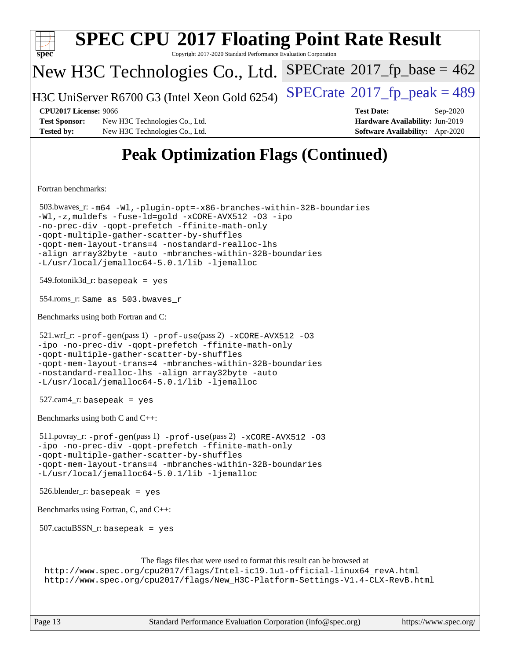| <b>SPEC CPU®2017 Floating Point Rate Result</b><br>$spec^*$<br>Copyright 2017-2020 Standard Performance Evaluation Corporation                                                                                                                                                                                                                                                                |                                                                                                     |
|-----------------------------------------------------------------------------------------------------------------------------------------------------------------------------------------------------------------------------------------------------------------------------------------------------------------------------------------------------------------------------------------------|-----------------------------------------------------------------------------------------------------|
| New H3C Technologies Co., Ltd.                                                                                                                                                                                                                                                                                                                                                                | $SPECrate^{\circ}2017$ fp base = 462                                                                |
| H3C UniServer R6700 G3 (Intel Xeon Gold 6254)                                                                                                                                                                                                                                                                                                                                                 | $SPECTate@2017_fp\_peak = 489$                                                                      |
| <b>CPU2017 License: 9066</b><br><b>Test Sponsor:</b><br>New H3C Technologies Co., Ltd.<br><b>Tested by:</b><br>New H3C Technologies Co., Ltd.                                                                                                                                                                                                                                                 | <b>Test Date:</b><br>Sep-2020<br>Hardware Availability: Jun-2019<br>Software Availability: Apr-2020 |
| <b>Peak Optimization Flags (Continued)</b>                                                                                                                                                                                                                                                                                                                                                    |                                                                                                     |
| Fortran benchmarks:                                                                                                                                                                                                                                                                                                                                                                           |                                                                                                     |
| 503.bwaves_r:-m64 -Wl,-plugin-opt=-x86-branches-within-32B-boundaries<br>-Wl,-z, muldefs -fuse-ld=gold -xCORE-AVX512 -03 -ipo<br>-no-prec-div -qopt-prefetch -ffinite-math-only<br>-qopt-multiple-gather-scatter-by-shuffles<br>-qopt-mem-layout-trans=4 -nostandard-realloc-lhs<br>-align array32byte -auto -mbranches-within-32B-boundaries<br>-L/usr/local/jemalloc64-5.0.1/lib -ljemalloc |                                                                                                     |
| $549$ .fotonik $3d$ _r: basepeak = yes                                                                                                                                                                                                                                                                                                                                                        |                                                                                                     |
| 554.roms_r: Same as 503.bwaves_r                                                                                                                                                                                                                                                                                                                                                              |                                                                                                     |
| Benchmarks using both Fortran and C:                                                                                                                                                                                                                                                                                                                                                          |                                                                                                     |
| 521.wrf_r: -prof-gen(pass 1) -prof-use(pass 2) -xCORE-AVX512 -03<br>-ipo -no-prec-div -qopt-prefetch -ffinite-math-only<br>-qopt-multiple-qather-scatter-by-shuffles<br>-qopt-mem-layout-trans=4 -mbranches-within-32B-boundaries<br>-nostandard-realloc-lhs -align array32byte -auto<br>-L/usr/local/jemalloc64-5.0.1/lib -ljemalloc                                                         |                                                                                                     |
| $527.cam4_r$ : basepeak = yes                                                                                                                                                                                                                                                                                                                                                                 |                                                                                                     |
| Benchmarks using both C and C++:                                                                                                                                                                                                                                                                                                                                                              |                                                                                                     |
| 511.povray_r: -prof-gen(pass 1) -prof-use(pass 2) -xCORE-AVX512 -03<br>-ipo -no-prec-div -qopt-prefetch -ffinite-math-only<br>-qopt-multiple-gather-scatter-by-shuffles<br>-qopt-mem-layout-trans=4 -mbranches-within-32B-boundaries<br>-L/usr/local/jemalloc64-5.0.1/lib -ljemalloc                                                                                                          |                                                                                                     |
| $526.$ blender_r: basepeak = yes                                                                                                                                                                                                                                                                                                                                                              |                                                                                                     |
| Benchmarks using Fortran, C, and C++:                                                                                                                                                                                                                                                                                                                                                         |                                                                                                     |
| $507.cactuBSSN_r$ : basepeak = yes                                                                                                                                                                                                                                                                                                                                                            |                                                                                                     |
| The flags files that were used to format this result can be browsed at<br>http://www.spec.org/cpu2017/flags/Intel-ic19.1u1-official-linux64_revA.html<br>http://www.spec.org/cpu2017/flags/New_H3C-Platform-Settings-V1.4-CLX-RevB.html                                                                                                                                                       |                                                                                                     |